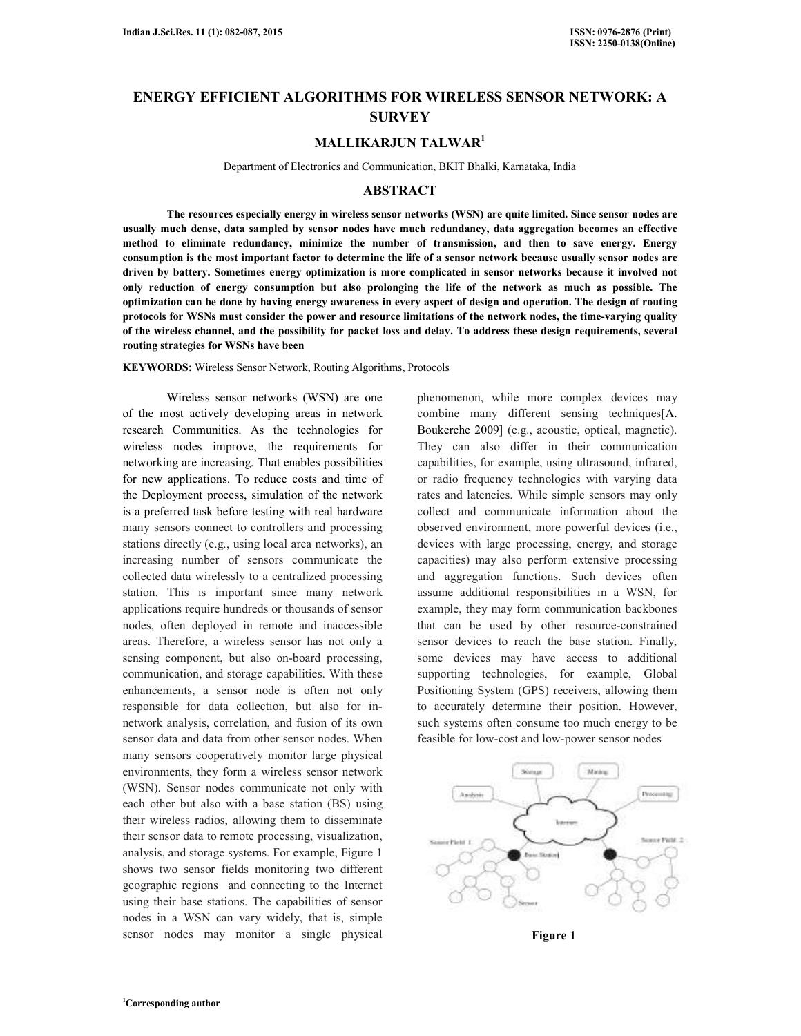# **ENERGY EFFICIENT ALGORITHMS FOR WIRELESS SENSOR NETWORK: A SURVEY**

### **MALLIKARJUN TALWAR<sup>1</sup>**

Department of Electronics and Communication, BKIT Bhalki, Karnataka, India

### **ABSTRACT**

 **The resources especially energy in wireless sensor networks (WSN) are quite limited. Since sensor nodes are usually much dense, data sampled by sensor nodes have much redundancy, data aggregation becomes an effective method to eliminate redundancy, minimize the number of transmission, and then to save energy. Energy consumption is the most important factor to determine the life of a sensor network because usually sensor nodes are driven by battery. Sometimes energy optimization is more complicated in sensor networks because it involved not only reduction of energy consumption but also prolonging the life of the network as much as possible. The optimization can be done by having energy awareness in every aspect of design and operation. The design of routing protocols for WSNs must consider the power and resource limitations of the network nodes, the time-varying quality of the wireless channel, and the possibility for packet loss and delay. To address these design requirements, several routing strategies for WSNs have been** 

**KEYWORDS:** Wireless Sensor Network, Routing Algorithms, Protocols

 Wireless sensor networks (WSN) are one of the most actively developing areas in network research Communities. As the technologies for wireless nodes improve, the requirements for networking are increasing. That enables possibilities for new applications. To reduce costs and time of the Deployment process, simulation of the network is a preferred task before testing with real hardware many sensors connect to controllers and processing stations directly (e.g., using local area networks), an increasing number of sensors communicate the collected data wirelessly to a centralized processing station. This is important since many network applications require hundreds or thousands of sensor nodes, often deployed in remote and inaccessible areas. Therefore, a wireless sensor has not only a sensing component, but also on-board processing, communication, and storage capabilities. With these enhancements, a sensor node is often not only responsible for data collection, but also for innetwork analysis, correlation, and fusion of its own sensor data and data from other sensor nodes. When many sensors cooperatively monitor large physical environments, they form a wireless sensor network (WSN). Sensor nodes communicate not only with each other but also with a base station (BS) using their wireless radios, allowing them to disseminate their sensor data to remote processing, visualization, analysis, and storage systems. For example, Figure 1 shows two sensor fields monitoring two different geographic regions and connecting to the Internet using their base stations. The capabilities of sensor nodes in a WSN can vary widely, that is, simple sensor nodes may monitor a single physical

phenomenon, while more complex devices may combine many different sensing techniques[A. Boukerche 2009] (e.g., acoustic, optical, magnetic). They can also differ in their communication capabilities, for example, using ultrasound, infrared, or radio frequency technologies with varying data rates and latencies. While simple sensors may only collect and communicate information about the observed environment, more powerful devices (i.e., devices with large processing, energy, and storage capacities) may also perform extensive processing and aggregation functions. Such devices often assume additional responsibilities in a WSN, for example, they may form communication backbones that can be used by other resource-constrained sensor devices to reach the base station. Finally, some devices may have access to additional supporting technologies, for example, Global Positioning System (GPS) receivers, allowing them to accurately determine their position. However, such systems often consume too much energy to be feasible for low-cost and low-power sensor nodes



**Figure 1**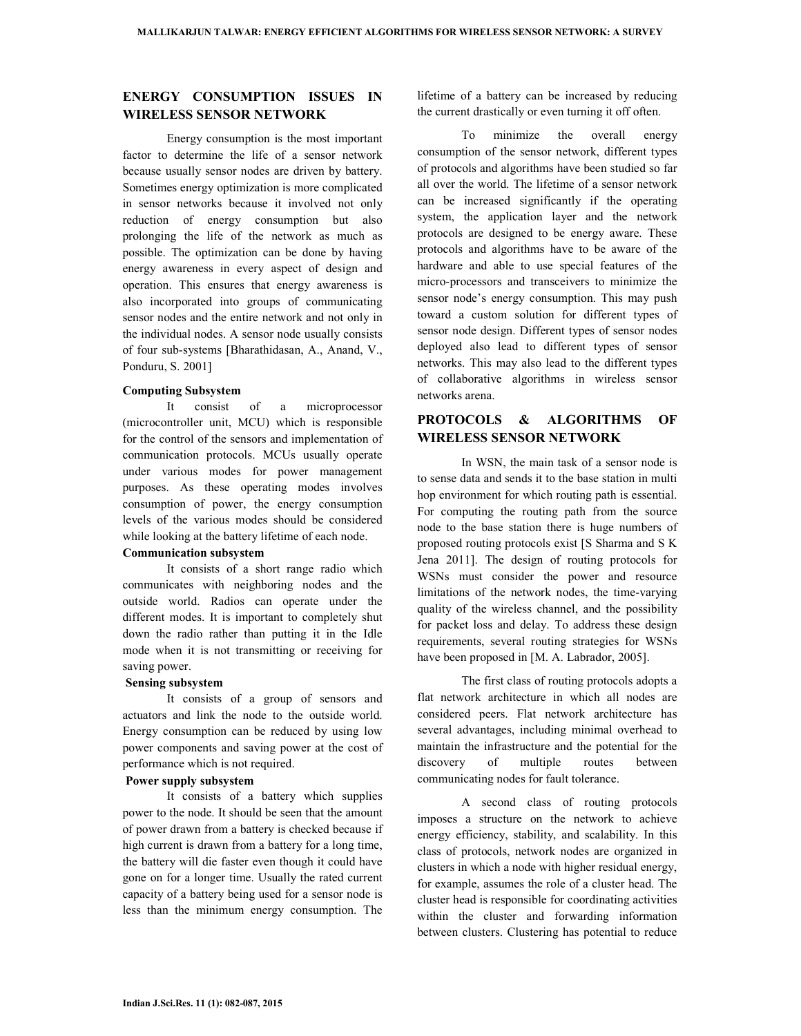# **ENERGY CONSUMPTION ISSUES IN WIRELESS SENSOR NETWORK**

 Energy consumption is the most important factor to determine the life of a sensor network because usually sensor nodes are driven by battery. Sometimes energy optimization is more complicated in sensor networks because it involved not only reduction of energy consumption but also prolonging the life of the network as much as possible. The optimization can be done by having energy awareness in every aspect of design and operation. This ensures that energy awareness is also incorporated into groups of communicating sensor nodes and the entire network and not only in the individual nodes. A sensor node usually consists of four sub-systems [Bharathidasan, A., Anand, V., Ponduru, S. 2001]

### **Computing Subsystem**

 It consist of a microprocessor (microcontroller unit, MCU) which is responsible for the control of the sensors and implementation of communication protocols. MCUs usually operate under various modes for power management purposes. As these operating modes involves consumption of power, the energy consumption levels of the various modes should be considered while looking at the battery lifetime of each node.

# **Communication subsystem**

 It consists of a short range radio which communicates with neighboring nodes and the outside world. Radios can operate under the different modes. It is important to completely shut down the radio rather than putting it in the Idle mode when it is not transmitting or receiving for saving power.

# **Sensing subsystem**

 It consists of a group of sensors and actuators and link the node to the outside world. Energy consumption can be reduced by using low power components and saving power at the cost of performance which is not required.

#### **Power supply subsystem**

 It consists of a battery which supplies power to the node. It should be seen that the amount of power drawn from a battery is checked because if high current is drawn from a battery for a long time, the battery will die faster even though it could have gone on for a longer time. Usually the rated current capacity of a battery being used for a sensor node is less than the minimum energy consumption. The

lifetime of a battery can be increased by reducing the current drastically or even turning it off often.

 To minimize the overall energy consumption of the sensor network, different types of protocols and algorithms have been studied so far all over the world. The lifetime of a sensor network can be increased significantly if the operating system, the application layer and the network protocols are designed to be energy aware. These protocols and algorithms have to be aware of the hardware and able to use special features of the micro-processors and transceivers to minimize the sensor node's energy consumption. This may push toward a custom solution for different types of sensor node design. Different types of sensor nodes deployed also lead to different types of sensor networks. This may also lead to the different types of collaborative algorithms in wireless sensor networks arena.

# **PROTOCOLS & ALGORITHMS OF WIRELESS SENSOR NETWORK**

 In WSN, the main task of a sensor node is to sense data and sends it to the base station in multi hop environment for which routing path is essential. For computing the routing path from the source node to the base station there is huge numbers of proposed routing protocols exist [S Sharma and S K Jena 2011]. The design of routing protocols for WSNs must consider the power and resource limitations of the network nodes, the time-varying quality of the wireless channel, and the possibility for packet loss and delay. To address these design requirements, several routing strategies for WSNs have been proposed in [M. A. Labrador, 2005].

 The first class of routing protocols adopts a flat network architecture in which all nodes are considered peers. Flat network architecture has several advantages, including minimal overhead to maintain the infrastructure and the potential for the discovery of multiple routes between communicating nodes for fault tolerance.

 A second class of routing protocols imposes a structure on the network to achieve energy efficiency, stability, and scalability. In this class of protocols, network nodes are organized in clusters in which a node with higher residual energy, for example, assumes the role of a cluster head. The cluster head is responsible for coordinating activities within the cluster and forwarding information between clusters. Clustering has potential to reduce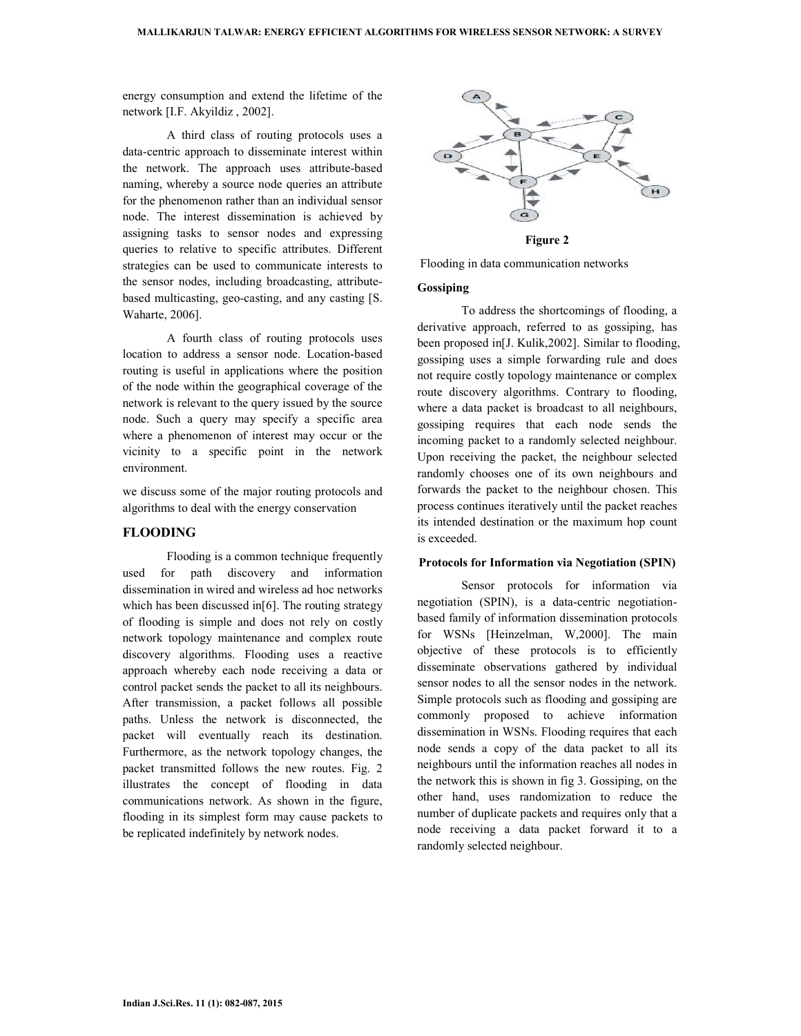energy consumption and extend the lifetime of the network [I.F. Akyildiz , 2002].

 A third class of routing protocols uses a data-centric approach to disseminate interest within the network. The approach uses attribute-based naming, whereby a source node queries an attribute for the phenomenon rather than an individual sensor node. The interest dissemination is achieved by assigning tasks to sensor nodes and expressing queries to relative to specific attributes. Different strategies can be used to communicate interests to the sensor nodes, including broadcasting, attributebased multicasting, geo-casting, and any casting [S. Waharte, 2006].

 A fourth class of routing protocols uses location to address a sensor node. Location-based routing is useful in applications where the position of the node within the geographical coverage of the network is relevant to the query issued by the source node. Such a query may specify a specific area where a phenomenon of interest may occur or the vicinity to a specific point in the network environment.

we discuss some of the major routing protocols and algorithms to deal with the energy conservation

### **FLOODING**

 Flooding is a common technique frequently used for path discovery and information dissemination in wired and wireless ad hoc networks which has been discussed in[6]. The routing strategy of flooding is simple and does not rely on costly network topology maintenance and complex route discovery algorithms. Flooding uses a reactive approach whereby each node receiving a data or control packet sends the packet to all its neighbours. After transmission, a packet follows all possible paths. Unless the network is disconnected, the packet will eventually reach its destination. Furthermore, as the network topology changes, the packet transmitted follows the new routes. Fig. 2 illustrates the concept of flooding in data communications network. As shown in the figure, flooding in its simplest form may cause packets to be replicated indefinitely by network nodes.





Flooding in data communication networks

#### **Gossiping**

 To address the shortcomings of flooding, a derivative approach, referred to as gossiping, has been proposed in[J. Kulik,2002]. Similar to flooding, gossiping uses a simple forwarding rule and does not require costly topology maintenance or complex route discovery algorithms. Contrary to flooding, where a data packet is broadcast to all neighbours, gossiping requires that each node sends the incoming packet to a randomly selected neighbour. Upon receiving the packet, the neighbour selected randomly chooses one of its own neighbours and forwards the packet to the neighbour chosen. This process continues iteratively until the packet reaches its intended destination or the maximum hop count is exceeded.

#### **Protocols for Information via Negotiation (SPIN)**

 Sensor protocols for information via negotiation (SPIN), is a data-centric negotiationbased family of information dissemination protocols for WSNs [Heinzelman, W,2000]. The main objective of these protocols is to efficiently disseminate observations gathered by individual sensor nodes to all the sensor nodes in the network. Simple protocols such as flooding and gossiping are commonly proposed to achieve information dissemination in WSNs. Flooding requires that each node sends a copy of the data packet to all its neighbours until the information reaches all nodes in the network this is shown in fig 3. Gossiping, on the other hand, uses randomization to reduce the number of duplicate packets and requires only that a node receiving a data packet forward it to a randomly selected neighbour.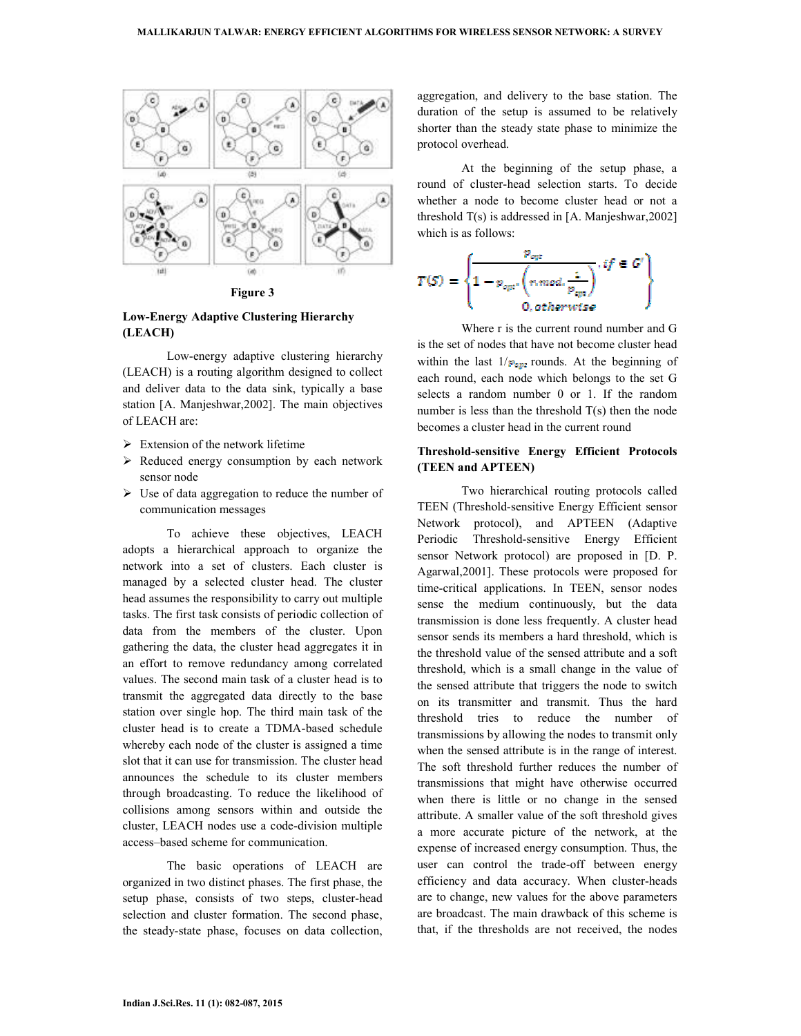

**Figure 3**

### **Low-Energy Adaptive Clustering Hierarchy (LEACH)**

 Low-energy adaptive clustering hierarchy (LEACH) is a routing algorithm designed to collect and deliver data to the data sink, typically a base station [A. Manjeshwar,2002]. The main objectives of LEACH are:

- $\triangleright$  Extension of the network lifetime
- $\triangleright$  Reduced energy consumption by each network sensor node
- $\triangleright$  Use of data aggregation to reduce the number of communication messages

 To achieve these objectives, LEACH adopts a hierarchical approach to organize the network into a set of clusters. Each cluster is managed by a selected cluster head. The cluster head assumes the responsibility to carry out multiple tasks. The first task consists of periodic collection of data from the members of the cluster. Upon gathering the data, the cluster head aggregates it in an effort to remove redundancy among correlated values. The second main task of a cluster head is to transmit the aggregated data directly to the base station over single hop. The third main task of the cluster head is to create a TDMA-based schedule whereby each node of the cluster is assigned a time slot that it can use for transmission. The cluster head announces the schedule to its cluster members through broadcasting. To reduce the likelihood of collisions among sensors within and outside the cluster, LEACH nodes use a code-division multiple access–based scheme for communication.

 The basic operations of LEACH are organized in two distinct phases. The first phase, the setup phase, consists of two steps, cluster-head selection and cluster formation. The second phase, the steady-state phase, focuses on data collection, aggregation, and delivery to the base station. The duration of the setup is assumed to be relatively shorter than the steady state phase to minimize the protocol overhead.

 At the beginning of the setup phase, a round of cluster-head selection starts. To decide whether a node to become cluster head or not a threshold T(s) is addressed in [A. Manjeshwar,2002] which is as follows:

$$
T(S) = \left\{ \overline{1 - p_{opt} \cdot \left( n, \text{mod}, \frac{1}{p_{opt}} \right)}}, if \in G' \right\}
$$
  

$$
0, otherwise
$$

 Where r is the current round number and G is the set of nodes that have not become cluster head within the last  $1/\rho_{\text{opt}}$  rounds. At the beginning of each round, each node which belongs to the set G selects a random number 0 or 1. If the random number is less than the threshold  $T(s)$  then the node becomes a cluster head in the current round

### **Threshold-sensitive Energy Efficient Protocols (TEEN and APTEEN)**

 Two hierarchical routing protocols called TEEN (Threshold-sensitive Energy Efficient sensor Network protocol), and APTEEN (Adaptive Periodic Threshold-sensitive Energy Efficient sensor Network protocol) are proposed in [D. P. Agarwal,2001]. These protocols were proposed for time-critical applications. In TEEN, sensor nodes sense the medium continuously, but the data transmission is done less frequently. A cluster head sensor sends its members a hard threshold, which is the threshold value of the sensed attribute and a soft threshold, which is a small change in the value of the sensed attribute that triggers the node to switch on its transmitter and transmit. Thus the hard threshold tries to reduce the number of transmissions by allowing the nodes to transmit only when the sensed attribute is in the range of interest. The soft threshold further reduces the number of transmissions that might have otherwise occurred when there is little or no change in the sensed attribute. A smaller value of the soft threshold gives a more accurate picture of the network, at the expense of increased energy consumption. Thus, the user can control the trade-off between energy efficiency and data accuracy. When cluster-heads are to change, new values for the above parameters are broadcast. The main drawback of this scheme is that, if the thresholds are not received, the nodes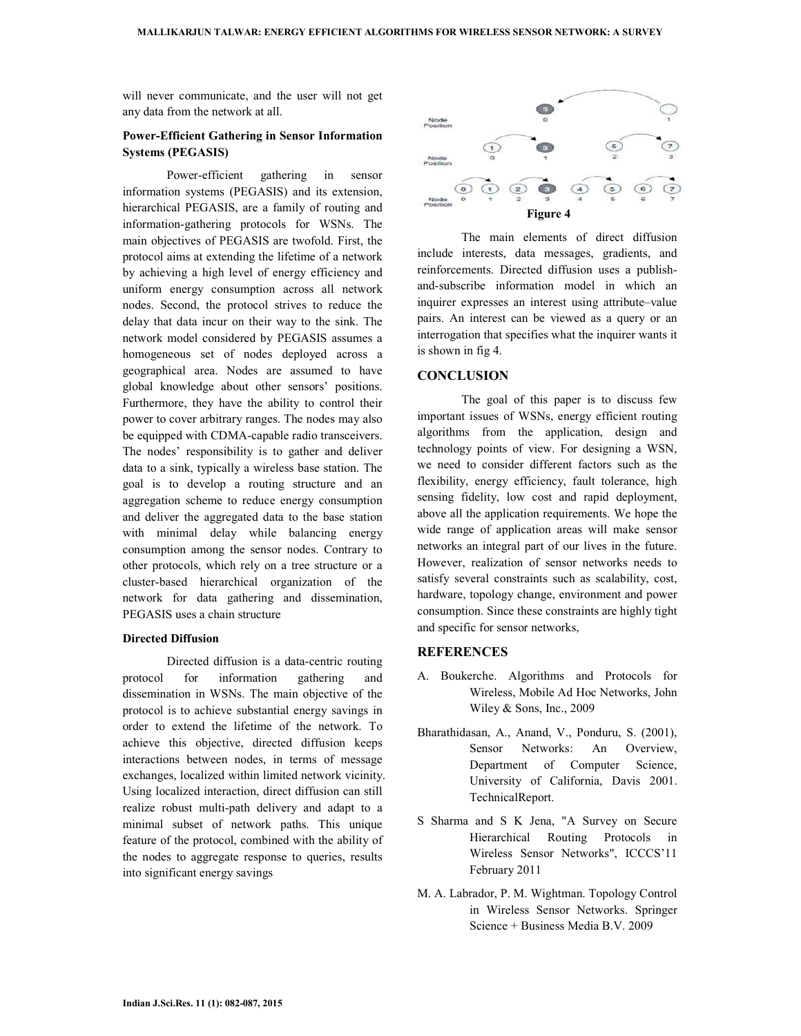will never communicate, and the user will not get any data from the network at all.

### **Power-Efficient Gathering in Sensor Information Systems (PEGASIS)**

 Power-efficient gathering in sensor information systems (PEGASIS) and its extension, hierarchical PEGASIS, are a family of routing and information-gathering protocols for WSNs. The main objectives of PEGASIS are twofold. First, the protocol aims at extending the lifetime of a network by achieving a high level of energy efficiency and uniform energy consumption across all network nodes. Second, the protocol strives to reduce the delay that data incur on their way to the sink. The network model considered by PEGASIS assumes a homogeneous set of nodes deployed across a geographical area. Nodes are assumed to have global knowledge about other sensors' positions. Furthermore, they have the ability to control their power to cover arbitrary ranges. The nodes may also be equipped with CDMA-capable radio transceivers. The nodes' responsibility is to gather and deliver data to a sink, typically a wireless base station. The goal is to develop a routing structure and an aggregation scheme to reduce energy consumption and deliver the aggregated data to the base station with minimal delay while balancing energy consumption among the sensor nodes. Contrary to other protocols, which rely on a tree structure or a cluster-based hierarchical organization of the network for data gathering and dissemination, PEGASIS uses a chain structure

#### **Directed Diffusion**

 Directed diffusion is a data-centric routing protocol for information gathering and dissemination in WSNs. The main objective of the protocol is to achieve substantial energy savings in order to extend the lifetime of the network. To achieve this objective, directed diffusion keeps interactions between nodes, in terms of message exchanges, localized within limited network vicinity. Using localized interaction, direct diffusion can still realize robust multi-path delivery and adapt to a minimal subset of network paths. This unique feature of the protocol, combined with the ability of the nodes to aggregate response to queries, results into significant energy savings



The main elements of direct diffusion include interests, data messages, gradients, and reinforcements. Directed diffusion uses a publishand-subscribe information model in which an inquirer expresses an interest using attribute–value pairs. An interest can be viewed as a query or an interrogation that specifies what the inquirer wants it is shown in fig 4.

### **CONCLUSION**

 The goal of this paper is to discuss few important issues of WSNs, energy efficient routing algorithms from the application, design and technology points of view. For designing a WSN, we need to consider different factors such as the flexibility, energy efficiency, fault tolerance, high sensing fidelity, low cost and rapid deployment, above all the application requirements. We hope the wide range of application areas will make sensor networks an integral part of our lives in the future. However, realization of sensor networks needs to satisfy several constraints such as scalability, cost, hardware, topology change, environment and power consumption. Since these constraints are highly tight and specific for sensor networks,

#### **REFERENCES**

- A. Boukerche. Algorithms and Protocols for Wireless, Mobile Ad Hoc Networks, John Wiley & Sons, Inc., 2009
- Bharathidasan, A., Anand, V., Ponduru, S. (2001), Sensor Networks: An Overview, Department of Computer Science, University of California, Davis 2001. TechnicalReport.
- S Sharma and S K Jena, "A Survey on Secure Hierarchical Routing Protocols in Wireless Sensor Networks", ICCCS'11 February 2011
- M. A. Labrador, P. M. Wightman. Topology Control in Wireless Sensor Networks. Springer Science + Business Media B.V. 2009